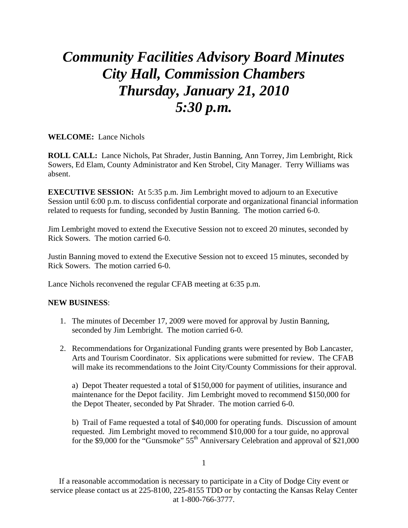## *Community Facilities Advisory Board Minutes City Hall, Commission Chambers Thursday, January 21, 2010 5:30 p.m.*

**WELCOME:** Lance Nichols

**ROLL CALL:** Lance Nichols, Pat Shrader, Justin Banning, Ann Torrey, Jim Lembright, Rick Sowers, Ed Elam, County Administrator and Ken Strobel, City Manager. Terry Williams was absent.

**EXECUTIVE SESSION:** At 5:35 p.m. Jim Lembright moved to adjourn to an Executive Session until 6:00 p.m. to discuss confidential corporate and organizational financial information related to requests for funding, seconded by Justin Banning. The motion carried 6-0.

Jim Lembright moved to extend the Executive Session not to exceed 20 minutes, seconded by Rick Sowers. The motion carried 6-0.

Justin Banning moved to extend the Executive Session not to exceed 15 minutes, seconded by Rick Sowers. The motion carried 6-0.

Lance Nichols reconvened the regular CFAB meeting at 6:35 p.m.

## **NEW BUSINESS**:

- 1. The minutes of December 17, 2009 were moved for approval by Justin Banning, seconded by Jim Lembright. The motion carried 6-0.
- 2. Recommendations for Organizational Funding grants were presented by Bob Lancaster, Arts and Tourism Coordinator. Six applications were submitted for review. The CFAB will make its recommendations to the Joint City/County Commissions for their approval.

 a) Depot Theater requested a total of \$150,000 for payment of utilities, insurance and maintenance for the Depot facility. Jim Lembright moved to recommend \$150,000 for the Depot Theater, seconded by Pat Shrader. The motion carried 6-0.

 b) Trail of Fame requested a total of \$40,000 for operating funds. Discussion of amount requested. Jim Lembright moved to recommend \$10,000 for a tour guide, no approval for the \$9,000 for the "Gunsmoke"  $55<sup>th</sup>$  Anniversary Celebration and approval of \$21,000

1

If a reasonable accommodation is necessary to participate in a City of Dodge City event or service please contact us at 225-8100, 225-8155 TDD or by contacting the Kansas Relay Center at 1-800-766-3777.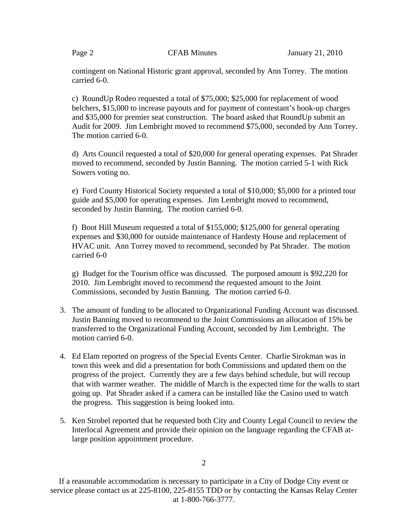contingent on National Historic grant approval, seconded by Ann Torrey. The motion carried 6-0.

 c) RoundUp Rodeo requested a total of \$75,000; \$25,000 for replacement of wood belchers, \$15,000 to increase payouts and for payment of contestant's hook-up charges and \$35,000 for premier seat construction. The board asked that RoundUp submit an Audit for 2009. Jim Lembright moved to recommend \$75,000, seconded by Ann Torrey. The motion carried 6-0.

 d) Arts Council requested a total of \$20,000 for general operating expenses. Pat Shrader moved to recommend, seconded by Justin Banning. The motion carried 5-1 with Rick Sowers voting no.

 e) Ford County Historical Society requested a total of \$10,000; \$5,000 for a printed tour guide and \$5,000 for operating expenses. Jim Lembright moved to recommend, seconded by Justin Banning. The motion carried 6-0.

 f) Boot Hill Museum requested a total of \$155,000; \$125,000 for general operating expenses and \$30,000 for outside maintenance of Hardesty House and replacement of HVAC unit. Ann Torrey moved to recommend, seconded by Pat Shrader. The motion carried 6-0

 g) Budget for the Tourism office was discussed. The purposed amount is \$92,220 for 2010. Jim Lembright moved to recommend the requested amount to the Joint Commissions, seconded by Justin Banning. The motion carried 6-0.

- 3. The amount of funding to be allocated to Organizational Funding Account was discussed. Justin Banning moved to recommend to the Joint Commissions an allocation of 15% be transferred to the Organizational Funding Account, seconded by Jim Lembright. The motion carried 6-0.
- 4. Ed Elam reported on progress of the Special Events Center. Charlie Sirokman was in town this week and did a presentation for both Commissions and updated them on the progress of the project. Currently they are a few days behind schedule, but will recoup that with warmer weather. The middle of March is the expected time for the walls to start going up. Pat Shrader asked if a camera can be installed like the Casino used to watch the progress. This suggestion is being looked into.
- 5. Ken Strobel reported that he requested both City and County Legal Council to review the Interlocal Agreement and provide their opinion on the language regarding the CFAB atlarge position appointment procedure.

If a reasonable accommodation is necessary to participate in a City of Dodge City event or service please contact us at 225-8100, 225-8155 TDD or by contacting the Kansas Relay Center at 1-800-766-3777.